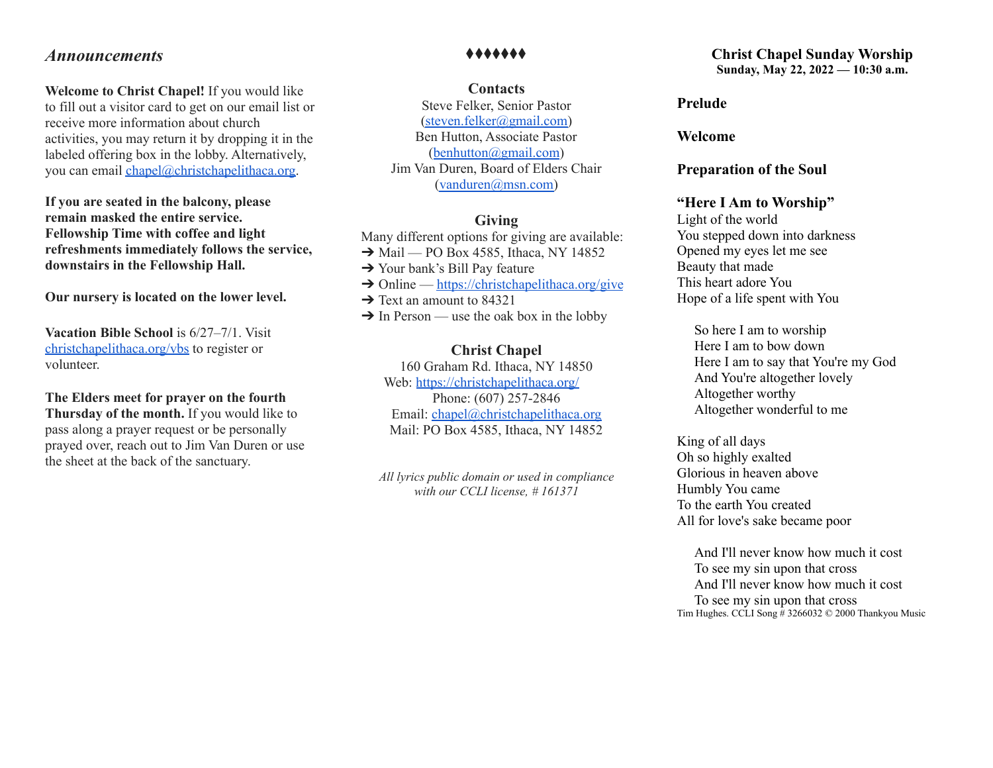### *Announcements*

**Welcome to Christ Chapel!** If you would like to fill out a visitor card to get on our email list or receive more information about church activities, you may return it by dropping it in the labeled offering box in the lobby. Alternatively, you can email [chapel@christchapelithaca.org.](mailto:chapel@christchapelithaca.org)

**If you are seated in the balcony, please remain masked the entire service. Fellowship Time with coffee and light refreshments immediately follows the service, downstairs in the Fellowship Hall.**

**Our nursery is located on the lower level.**

**Vacation Bible School** is 6/27–7/1. Visi[t](http://christchapelithaca.org/vbs) [christchapelithaca.org/vbs](http://christchapelithaca.org/vbs) to register or volunteer.

**The Elders meet for prayer on the fourth**

**Thursday of the month.** If you would like to pass along a prayer request or be personally prayed over, reach out to Jim Van Duren or use the sheet at the back of the sanctuary.

### ⧫⧫⧫⧫⧫⧫⧫

#### **Contacts**

Steve Felker, Senior Pastor [\(steven.felker@gmail.com\)](mailto:steven.felker@gmail.com) Ben Hutton, Associate Pastor ([benhutton@gmail.com](mailto:benhutton@gmail.com)) Jim Van Duren, Board of Elders Chair [\(vanduren@msn.com\)](mailto:vanduren@msn.com)

# **Giving**

Many different options for giving are available:  $\rightarrow$  Mail — PO Box 4585, Ithaca, NY 14852

➔ Your bank's Bill Pay feature

 $\rightarrow$  Online — <https://christchapelithaca.org/give>

 $\rightarrow$  Text an amount to 84321

 $\rightarrow$  In Person — use the oak box in the lobby

## **Christ Chapel**

160 Graham Rd. Ithaca, NY 14850 Web: <https://christchapelithaca.org/> Phone: (607) 257-2846 Email: [chapel@christchapelithaca.org](mailto:chapel@christchapelithaca.org) Mail: PO Box 4585, Ithaca, NY 14852

*All lyrics public domain or used in compliance with our CCLI license, # 161371*

#### **Christ Chapel Sunday Worship Sunday, May 22, 2022 — 10:30 a.m.**

## **Prelude**

#### **Welcome**

#### **Preparation of the Soul**

#### **"Here I Am to Worship"**

Light of the world You stepped down into darkness Opened my eyes let me see Beauty that made This heart adore You Hope of a life spent with You

So here I am to worship Here I am to bow down Here I am to say that You're my God And You're altogether lovely Altogether worthy Altogether wonderful to me

King of all days Oh so highly exalted Glorious in heaven above Humbly You came To the earth You created All for love's sake became poor

And I'll never know how much it cost To see my sin upon that cross And I'll never know how much it cost To see my sin upon that cross Tim Hughes. CCLI Song # 3266032 © 2000 Thankyou Music